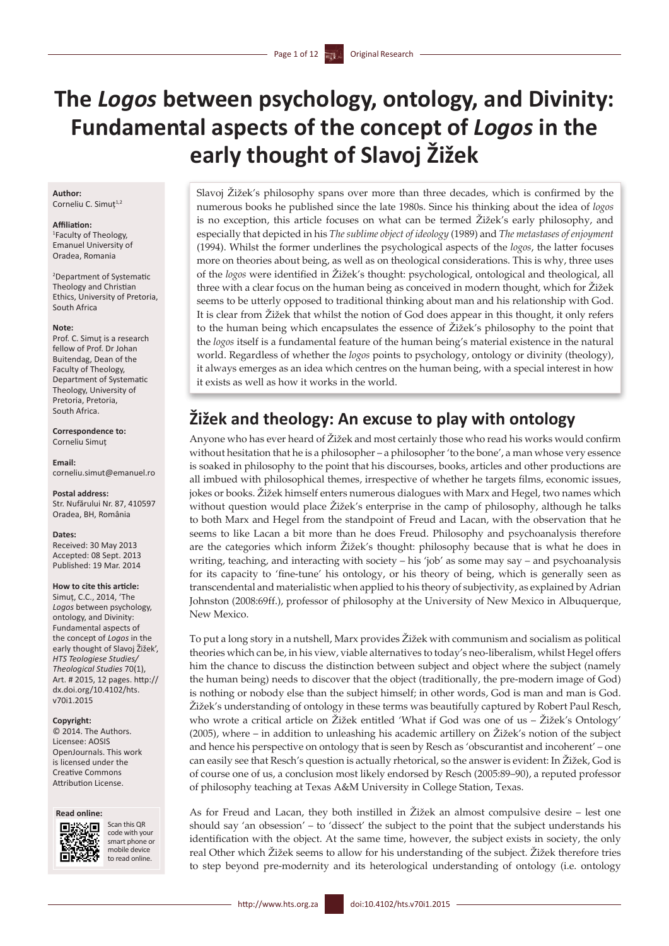# **The** *Logos* **between psychology, ontology, and Divinity: Fundamental aspects of the concept of** *Logos* **in the early thought of Slavoj Žižek**

### **Author:**

Corneliu C. Simut<sup>1,2</sup>

#### **Affiliation:**

1 Faculty of Theology, Emanuel University of Oradea, Romania

2 Department of Systematic Theology and Christian Ethics, University of Pretoria, South Africa

#### **Note:**

Prof. C. Simuț is a research fellow of Prof. Dr Johan Buitendag, Dean of the Faculty of Theology, Department of Systematic Theology, University of Pretoria, Pretoria, South Africa.

**Correspondence to:** Corneliu Simuț

#### **Email:**

[corneliu.simut@emanuel.ro](mailto:corneliu.simut@emanuel.ro)

#### **Postal address:**

Str. Nufărului Nr. 87, 410597 Oradea, BH, România

#### **Dates:**

Received: 30 May 2013 Accepted: 08 Sept. 2013 Published: 19 Mar. 2014

#### **How to cite this article:**

Simuț, C.C., 2014, 'The *Logos* between psychology, ontology, and Divinity: Fundamental aspects of the concept of *Logos* in the early thought of Slavoj Žižek', *HTS Teologiese Studies/ Theological Studies* 70(1), Art. # 2015, 12 pages. [http://](http://dx.doi.org/10.4102/hts.v70i1.2015) [dx.doi.org/10.4102/hts.](http://dx.doi.org/10.4102/hts.v70i1.2015) [v70i1.2015](http://dx.doi.org/10.4102/hts.v70i1.2015)

#### **Copyright:**

© 2014. The Authors. Licensee: AOSIS OpenJournals. This work is licensed under the Creative Commons Attribution License.





Scan this OR code with your smart phone or mobile device to read online.

Slavoj Žižek's philosophy spans over more than three decades, which is confirmed by the numerous books he published since the late 1980s. Since his thinking about the idea of *logos* is no exception, this article focuses on what can be termed Žižek's early philosophy, and especially that depicted in his *The sublime object of ideology* (1989) and *The metastases of enjoyment* (1994). Whilst the former underlines the psychological aspects of the *logos*, the latter focuses more on theories about being, as well as on theological considerations. This is why, three uses of the *logos* were identified in Žižek's thought: psychological, ontological and theological, all three with a clear focus on the human being as conceived in modern thought, which for Žižek seems to be utterly opposed to traditional thinking about man and his relationship with God. It is clear from Žižek that whilst the notion of God does appear in this thought, it only refers to the human being which encapsulates the essence of Žižek's philosophy to the point that the *logos* itself is a fundamental feature of the human being's material existence in the natural world. Regardless of whether the *logos* points to psychology, ontology or divinity (theology), it always emerges as an idea which centres on the human being, with a special interest in how it exists as well as how it works in the world.

## **Žižek and theology: An excuse to play with ontology**

Anyone who has ever heard of Žižek and most certainly those who read his works would confirm without hesitation that he is a philosopher – a philosopher 'to the bone', a man whose very essence is soaked in philosophy to the point that his discourses, books, articles and other productions are all imbued with philosophical themes, irrespective of whether he targets films, economic issues, jokes or books. Žižek himself enters numerous dialogues with Marx and Hegel, two names which without question would place Žižek's enterprise in the camp of philosophy, although he talks to both Marx and Hegel from the standpoint of Freud and Lacan, with the observation that he seems to like Lacan a bit more than he does Freud. Philosophy and psychoanalysis therefore are the categories which inform Žižek's thought: philosophy because that is what he does in writing, teaching, and interacting with society – his 'job' as some may say – and psychoanalysis for its capacity to 'fine-tune' his ontology, or his theory of being, which is generally seen as transcendental and materialistic when applied to his theory of subjectivity, as explained by Adrian Johnston (2008:69ff.), professor of philosophy at the University of New Mexico in Albuquerque, New Mexico.

To put a long story in a nutshell, Marx provides Žižek with communism and socialism as political theories which can be, in his view, viable alternatives to today's neo-liberalism, whilst Hegel offers him the chance to discuss the distinction between subject and object where the subject (namely the human being) needs to discover that the object (traditionally, the pre-modern image of God) is nothing or nobody else than the subject himself; in other words, God is man and man is God. Žižek's understanding of ontology in these terms was beautifully captured by Robert Paul Resch, who wrote a critical article on Žižek entitled 'What if God was one of us – Žižek's Ontology' (2005), where – in addition to unleashing his academic artillery on Žižek's notion of the subject and hence his perspective on ontology that is seen by Resch as 'obscurantist and incoherent' – one can easily see that Resch's question is actually rhetorical, so the answer is evident: In Žižek, God is of course one of us, a conclusion most likely endorsed by Resch (2005:89–90), a reputed professor of philosophy teaching at Texas A&M University in College Station, Texas.

As for Freud and Lacan, they both instilled in Žižek an almost compulsive desire – lest one should say 'an obsession' – to 'dissect' the subject to the point that the subject understands his identification with the object. At the same time, however, the subject exists in society, the only real Other which Žižek seems to allow for his understanding of the subject. Žižek therefore tries to step beyond pre-modernity and its heterological understanding of ontology (i.e. ontology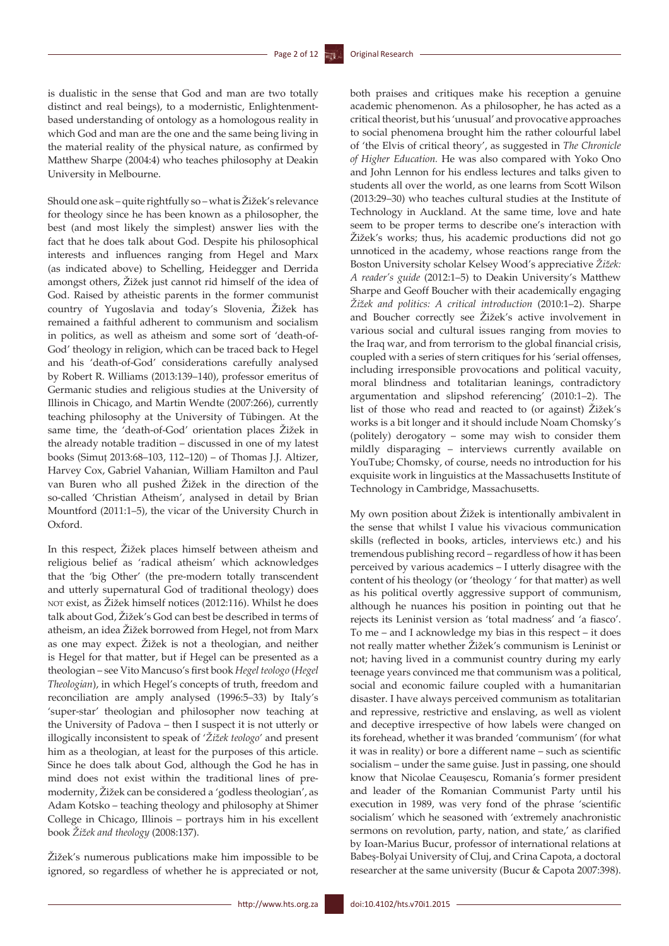is dualistic in the sense that God and man are two totally distinct and real beings), to a modernistic, Enlightenmentbased understanding of ontology as a homologous reality in which God and man are the one and the same being living in the material reality of the physical nature, as confirmed by Matthew Sharpe (2004:4) who teaches philosophy at Deakin University in Melbourne.

Should one ask – quite rightfully so – what is Žižek's relevance for theology since he has been known as a philosopher, the best (and most likely the simplest) answer lies with the fact that he does talk about God. Despite his philosophical interests and influences ranging from Hegel and Marx (as indicated above) to Schelling, Heidegger and Derrida amongst others, Žižek just cannot rid himself of the idea of God. Raised by atheistic parents in the former communist country of Yugoslavia and today's Slovenia, Žižek has remained a faithful adherent to communism and socialism in politics, as well as atheism and some sort of 'death-of-God' theology in religion, which can be traced back to Hegel and his 'death-of-God' considerations carefully analysed by Robert R. Williams (2013:139–140), professor emeritus of Germanic studies and religious studies at the University of Illinois in Chicago, and Martin Wendte (2007:266), currently teaching philosophy at the University of Tübingen. At the same time, the 'death-of-God' orientation places Žižek in the already notable tradition – discussed in one of my latest books (Simuț 2013:68–103, 112–120) – of Thomas J.J. Altizer, Harvey Cox, Gabriel Vahanian, William Hamilton and Paul van Buren who all pushed Žižek in the direction of the so-called 'Christian Atheism', analysed in detail by Brian Mountford (2011:1–5), the vicar of the University Church in Oxford.

In this respect, Žižek places himself between atheism and religious belief as 'radical atheism' which acknowledges that the 'big Other' (the pre-modern totally transcendent and utterly supernatural God of traditional theology) does not exist, as Žižek himself notices (2012:116). Whilst he does talk about God, Žižek's God can best be described in terms of atheism, an idea Žižek borrowed from Hegel, not from Marx as one may expect. Žižek is not a theologian, and neither is Hegel for that matter, but if Hegel can be presented as a theologian – see Vito Mancuso's first book *Hegel teologo* (*Hegel Theologian*), in which Hegel's concepts of truth, freedom and reconciliation are amply analysed (1996:5–33) by Italy's 'super-star' theologian and philosopher now teaching at the University of Padova – then I suspect it is not utterly or illogically inconsistent to speak of '*Žižek teologo*' and present him as a theologian, at least for the purposes of this article. Since he does talk about God, although the God he has in mind does not exist within the traditional lines of premodernity, Žižek can be considered a 'godless theologian', as Adam Kotsko – teaching theology and philosophy at Shimer College in Chicago, Illinois – portrays him in his excellent book *Žižek and theology* (2008:137).

Žižek's numerous publications make him impossible to be ignored, so regardless of whether he is appreciated or not,

both praises and critiques make his reception a genuine academic phenomenon. As a philosopher, he has acted as a critical theorist, but his 'unusual' and provocative approaches to social phenomena brought him the rather colourful label of 'the Elvis of critical theory', as suggested in *The Chronicle of Higher Education.* He was also compared with Yoko Ono and John Lennon for his endless lectures and talks given to students all over the world, as one learns from Scott Wilson (2013:29–30) who teaches cultural studies at the Institute of Technology in Auckland. At the same time, love and hate seem to be proper terms to describe one's interaction with Žižek's works; thus, his academic productions did not go unnoticed in the academy, whose reactions range from the Boston University scholar Kelsey Wood's appreciative *Žižek: A reader's guide* (2012:1–5) to Deakin University's Matthew Sharpe and Geoff Boucher with their academically engaging *Žižek and politics: A critical introduction* (2010:1–2). Sharpe and Boucher correctly see Žižek's active involvement in various social and cultural issues ranging from movies to the Iraq war, and from terrorism to the global financial crisis, coupled with a series of stern critiques for his 'serial offenses, including irresponsible provocations and political vacuity, moral blindness and totalitarian leanings, contradictory argumentation and slipshod referencing' (2010:1–2). The list of those who read and reacted to (or against) Žižek's works is a bit longer and it should include Noam Chomsky's (politely) derogatory – some may wish to consider them mildly disparaging – interviews currently available on YouTube; Chomsky, of course, needs no introduction for his exquisite work in linguistics at the Massachusetts Institute of Technology in Cambridge, Massachusetts.

My own position about Žižek is intentionally ambivalent in the sense that whilst I value his vivacious communication skills (reflected in books, articles, interviews etc.) and his tremendous publishing record – regardless of how it has been perceived by various academics – I utterly disagree with the content of his theology (or 'theology ' for that matter) as well as his political overtly aggressive support of communism, although he nuances his position in pointing out that he rejects its Leninist version as 'total madness' and 'a fiasco'. To me – and I acknowledge my bias in this respect – it does not really matter whether Žižek's communism is Leninist or not; having lived in a communist country during my early teenage years convinced me that communism was a political, social and economic failure coupled with a humanitarian disaster. I have always perceived communism as totalitarian and repressive, restrictive and enslaving, as well as violent and deceptive irrespective of how labels were changed on its forehead, whether it was branded 'communism' (for what it was in reality) or bore a different name – such as scientific socialism – under the same guise. Just in passing, one should know that Nicolae Ceaușescu, Romania's former president and leader of the Romanian Communist Party until his execution in 1989, was very fond of the phrase 'scientific socialism' which he seasoned with 'extremely anachronistic sermons on revolution, party, nation, and state,' as clarified by Ioan-Marius Bucur, professor of international relations at Babeș-Bolyai University of Cluj, and Crina Capota, a doctoral researcher at the same university (Bucur & Capota 2007:398).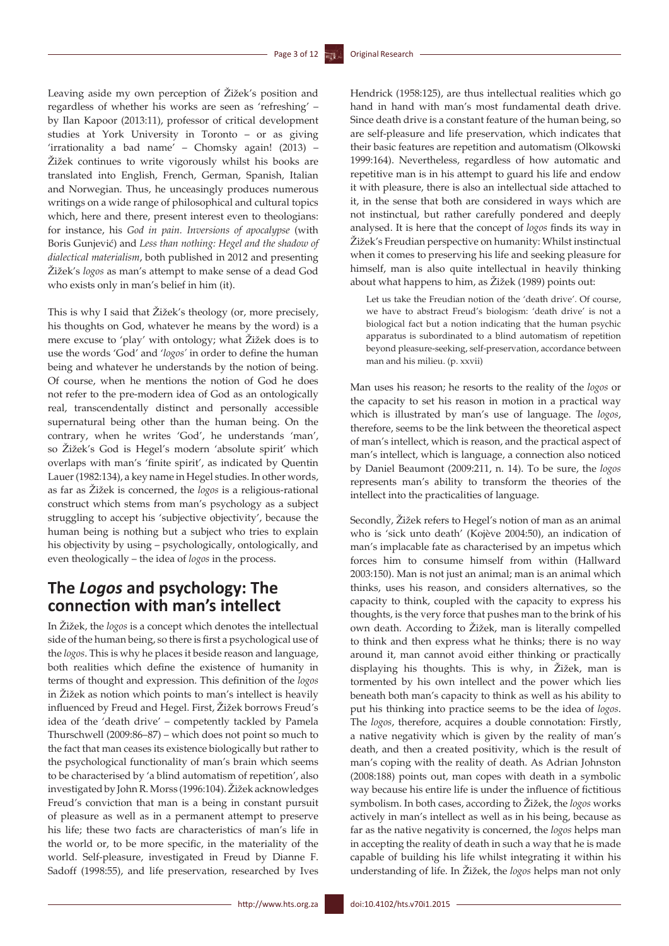Leaving aside my own perception of Žižek's position and regardless of whether his works are seen as 'refreshing' – by Ilan Kapoor (2013:11), professor of critical development studies at York University in Toronto – or as giving 'irrationality a bad name' – Chomsky again! (2013) – Žižek continues to write vigorously whilst his books are translated into English, French, German, Spanish, Italian and Norwegian. Thus, he unceasingly produces numerous writings on a wide range of philosophical and cultural topics which, here and there, present interest even to theologians: for instance, his *God in pain. Inversions of apocalypse* (with Boris Gunjević) and *Less than nothing: Hegel and the shadow of dialectical materialism*, both published in 2012 and presenting Žižek's *logos* as man's attempt to make sense of a dead God who exists only in man's belief in him (it).

This is why I said that Žižek's theology (or, more precisely, his thoughts on God, whatever he means by the word) is a mere excuse to 'play' with ontology; what Žižek does is to use the words 'God' and '*logos'* in order to define the human being and whatever he understands by the notion of being. Of course, when he mentions the notion of God he does not refer to the pre-modern idea of God as an ontologically real, transcendentally distinct and personally accessible supernatural being other than the human being. On the contrary, when he writes 'God', he understands 'man', so Žižek's God is Hegel's modern 'absolute spirit' which overlaps with man's 'finite spirit', as indicated by Quentin Lauer (1982:134), a key name in Hegel studies. In other words, as far as Žižek is concerned, the *logos* is a religious-rational construct which stems from man's psychology as a subject struggling to accept his 'subjective objectivity', because the human being is nothing but a subject who tries to explain his objectivity by using – psychologically, ontologically, and even theologically – the idea of *logos* in the process.

# **The** *Logos* **and psychology: The connection with man's intellect**

In Žižek, the *logos* is a concept which denotes the intellectual side of the human being, so there is first a psychological use of the *logos*. This is why he places it beside reason and language, both realities which define the existence of humanity in terms of thought and expression. This definition of the *logos* in Žižek as notion which points to man's intellect is heavily influenced by Freud and Hegel. First, Žižek borrows Freud's idea of the 'death drive' – competently tackled by Pamela Thurschwell (2009:86–87) – which does not point so much to the fact that man ceases its existence biologically but rather to the psychological functionality of man's brain which seems to be characterised by 'a blind automatism of repetition', also investigated by John R. Morss (1996:104). Žižek acknowledges Freud's conviction that man is a being in constant pursuit of pleasure as well as in a permanent attempt to preserve his life; these two facts are characteristics of man's life in the world or, to be more specific, in the materiality of the world. Self-pleasure, investigated in Freud by Dianne F. Sadoff (1998:55), and life preservation, researched by Ives

Hendrick (1958:125), are thus intellectual realities which go hand in hand with man's most fundamental death drive. Since death drive is a constant feature of the human being, so are self-pleasure and life preservation, which indicates that their basic features are repetition and automatism (Olkowski 1999:164). Nevertheless, regardless of how automatic and repetitive man is in his attempt to guard his life and endow it with pleasure, there is also an intellectual side attached to it, in the sense that both are considered in ways which are not instinctual, but rather carefully pondered and deeply analysed. It is here that the concept of *logos* finds its way in Žižek's Freudian perspective on humanity: Whilst instinctual when it comes to preserving his life and seeking pleasure for himself, man is also quite intellectual in heavily thinking about what happens to him, as Žižek (1989) points out:

Let us take the Freudian notion of the 'death drive'. Of course, we have to abstract Freud's biologism: 'death drive' is not a biological fact but a notion indicating that the human psychic apparatus is subordinated to a blind automatism of repetition beyond pleasure-seeking, self-preservation, accordance between man and his milieu. (p. xxvii)

Man uses his reason; he resorts to the reality of the *logos* or the capacity to set his reason in motion in a practical way which is illustrated by man's use of language. The *logos*, therefore, seems to be the link between the theoretical aspect of man's intellect, which is reason, and the practical aspect of man's intellect, which is language, a connection also noticed by Daniel Beaumont (2009:211, n. 14). To be sure, the *logos* represents man's ability to transform the theories of the intellect into the practicalities of language.

Secondly, Žižek refers to Hegel's notion of man as an animal who is 'sick unto death' (Kojève 2004:50), an indication of man's implacable fate as characterised by an impetus which forces him to consume himself from within (Hallward 2003:150). Man is not just an animal; man is an animal which thinks, uses his reason, and considers alternatives, so the capacity to think, coupled with the capacity to express his thoughts, is the very force that pushes man to the brink of his own death. According to Žižek, man is literally compelled to think and then express what he thinks; there is no way around it, man cannot avoid either thinking or practically displaying his thoughts. This is why, in Žižek, man is tormented by his own intellect and the power which lies beneath both man's capacity to think as well as his ability to put his thinking into practice seems to be the idea of *logos*. The *logos*, therefore, acquires a double connotation: Firstly, a native negativity which is given by the reality of man's death, and then a created positivity, which is the result of man's coping with the reality of death. As Adrian Johnston (2008:188) points out, man copes with death in a symbolic way because his entire life is under the influence of fictitious symbolism. In both cases, according to Žižek, the *logos* works actively in man's intellect as well as in his being, because as far as the native negativity is concerned, the *logos* helps man in accepting the reality of death in such a way that he is made capable of building his life whilst integrating it within his understanding of life. In Žižek, the *logos* helps man not only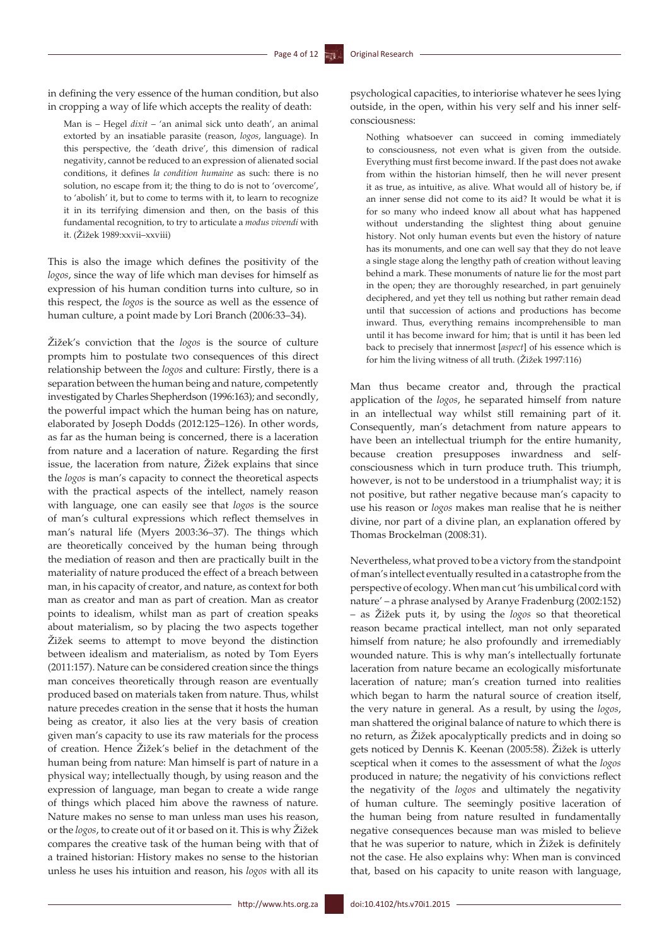in defining the very essence of the human condition, but also in cropping a way of life which accepts the reality of death:

Man is – Hegel *dixit* – 'an animal sick unto death', an animal extorted by an insatiable parasite (reason, *logos*, language). In this perspective, the 'death drive', this dimension of radical negativity, cannot be reduced to an expression of alienated social conditions, it defines *la condition humaine* as such: there is no solution, no escape from it; the thing to do is not to 'overcome', to 'abolish' it, but to come to terms with it, to learn to recognize it in its terrifying dimension and then, on the basis of this fundamental recognition, to try to articulate a *modus vivendi* with it. (Žižek 1989:xxvii–xxviii)

This is also the image which defines the positivity of the *logos*, since the way of life which man devises for himself as expression of his human condition turns into culture, so in this respect, the *logos* is the source as well as the essence of human culture, a point made by Lori Branch (2006:33–34).

Žižek's conviction that the *logos* is the source of culture prompts him to postulate two consequences of this direct relationship between the *logos* and culture: Firstly, there is a separation between the human being and nature, competently investigated by Charles Shepherdson (1996:163); and secondly, the powerful impact which the human being has on nature, elaborated by Joseph Dodds (2012:125–126). In other words, as far as the human being is concerned, there is a laceration from nature and a laceration of nature. Regarding the first issue, the laceration from nature, Žižek explains that since the *logos* is man's capacity to connect the theoretical aspects with the practical aspects of the intellect, namely reason with language, one can easily see that *logos* is the source of man's cultural expressions which reflect themselves in man's natural life (Myers 2003:36–37). The things which are theoretically conceived by the human being through the mediation of reason and then are practically built in the materiality of nature produced the effect of a breach between man, in his capacity of creator, and nature, as context for both man as creator and man as part of creation. Man as creator points to idealism, whilst man as part of creation speaks about materialism, so by placing the two aspects together Žižek seems to attempt to move beyond the distinction between idealism and materialism, as noted by Tom Eyers (2011:157). Nature can be considered creation since the things man conceives theoretically through reason are eventually produced based on materials taken from nature. Thus, whilst nature precedes creation in the sense that it hosts the human being as creator, it also lies at the very basis of creation given man's capacity to use its raw materials for the process of creation. Hence Žižek's belief in the detachment of the human being from nature: Man himself is part of nature in a physical way; intellectually though, by using reason and the expression of language, man began to create a wide range of things which placed him above the rawness of nature. Nature makes no sense to man unless man uses his reason, or the *logos*, to create out of it or based on it. This is why Žižek compares the creative task of the human being with that of a trained historian: History makes no sense to the historian unless he uses his intuition and reason, his *logos* with all its

psychological capacities, to interiorise whatever he sees lying outside, in the open, within his very self and his inner selfconsciousness:

Nothing whatsoever can succeed in coming immediately to consciousness, not even what is given from the outside. Everything must first become inward. If the past does not awake from within the historian himself, then he will never present it as true, as intuitive, as alive. What would all of history be, if an inner sense did not come to its aid? It would be what it is for so many who indeed know all about what has happened without understanding the slightest thing about genuine history. Not only human events but even the history of nature has its monuments, and one can well say that they do not leave a single stage along the lengthy path of creation without leaving behind a mark. These monuments of nature lie for the most part in the open; they are thoroughly researched, in part genuinely deciphered, and yet they tell us nothing but rather remain dead until that succession of actions and productions has become inward. Thus, everything remains incomprehensible to man until it has become inward for him; that is until it has been led back to precisely that innermost [*aspect*] of his essence which is for him the living witness of all truth. (Žižek 1997:116)

Man thus became creator and, through the practical application of the *logos*, he separated himself from nature in an intellectual way whilst still remaining part of it. Consequently, man's detachment from nature appears to have been an intellectual triumph for the entire humanity, because creation presupposes inwardness and selfconsciousness which in turn produce truth. This triumph, however, is not to be understood in a triumphalist way; it is not positive, but rather negative because man's capacity to use his reason or *logos* makes man realise that he is neither divine, nor part of a divine plan, an explanation offered by Thomas Brockelman (2008:31).

Nevertheless, what proved to be a victory from the standpoint of man's intellect eventually resulted in a catastrophe from the perspective of ecology. When man cut 'his umbilical cord with nature' – a phrase analysed by Aranye Fradenburg (2002:152) – as Žižek puts it, by using the *logos* so that theoretical reason became practical intellect, man not only separated himself from nature; he also profoundly and irremediably wounded nature. This is why man's intellectually fortunate laceration from nature became an ecologically misfortunate laceration of nature; man's creation turned into realities which began to harm the natural source of creation itself, the very nature in general. As a result, by using the *logos*, man shattered the original balance of nature to which there is no return, as Žižek apocalyptically predicts and in doing so gets noticed by Dennis K. Keenan (2005:58). Žižek is utterly sceptical when it comes to the assessment of what the *logos* produced in nature; the negativity of his convictions reflect the negativity of the *logos* and ultimately the negativity of human culture. The seemingly positive laceration of the human being from nature resulted in fundamentally negative consequences because man was misled to believe that he was superior to nature, which in Žižek is definitely not the case. He also explains why: When man is convinced that, based on his capacity to unite reason with language,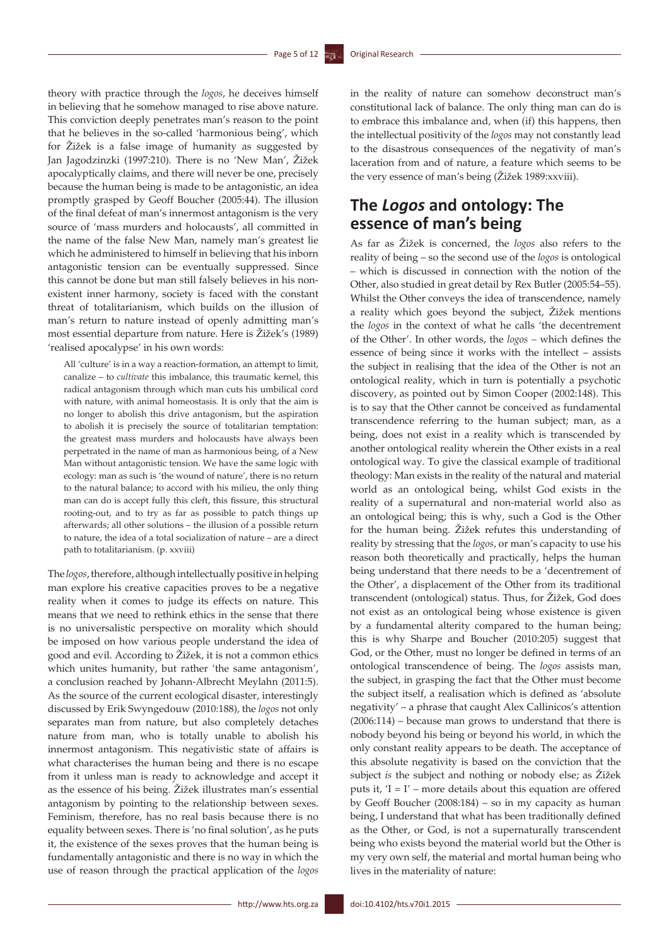theory with practice through the *logos*, he deceives himself in believing that he somehow managed to rise above nature. This conviction deeply penetrates man's reason to the point that he believes in the so-called 'harmonious being', which for Žižek is a false image of humanity as suggested by Jan Jagodzinzki (1997:210). There is no 'New Man', Žižek apocalyptically claims, and there will never be one, precisely because the human being is made to be antagonistic, an idea promptly grasped by Geoff Boucher (2005:44). The illusion of the final defeat of man's innermost antagonism is the very source of 'mass murders and holocausts', all committed in the name of the false New Man, namely man's greatest lie which he administered to himself in believing that his inborn antagonistic tension can be eventually suppressed. Since this cannot be done but man still falsely believes in his nonexistent inner harmony, society is faced with the constant threat of totalitarianism, which builds on the illusion of man's return to nature instead of openly admitting man's most essential departure from nature. Here is Žižek's (1989) 'realised apocalypse' in his own words:

All 'culture' is in a way a reaction-formation, an attempt to limit, canalize – to *cultivate* this imbalance, this traumatic kernel, this radical antagonism through which man cuts his umbilical cord with nature, with animal homeostasis. It is only that the aim is no longer to abolish this drive antagonism, but the aspiration to abolish it is precisely the source of totalitarian temptation: the greatest mass murders and holocausts have always been perpetrated in the name of man as harmonious being, of a New Man without antagonistic tension. We have the same logic with ecology: man as such is 'the wound of nature', there is no return to the natural balance; to accord with his milieu, the only thing man can do is accept fully this cleft, this fissure, this structural rooting-out, and to try as far as possible to patch things up afterwards; all other solutions – the illusion of a possible return to nature, the idea of a total socialization of nature – are a direct path to totalitarianism. (p. xxviii)

The *logos*, therefore, although intellectually positive in helping man explore his creative capacities proves to be a negative reality when it comes to judge its effects on nature. This means that we need to rethink ethics in the sense that there is no universalistic perspective on morality which should be imposed on how various people understand the idea of good and evil. According to Žižek, it is not a common ethics which unites humanity, but rather 'the same antagonism', a conclusion reached by Johann-Albrecht Meylahn (2011:5). As the source of the current ecological disaster, interestingly discussed by Erik Swyngedouw (2010:188), the *logos* not only separates man from nature, but also completely detaches nature from man, who is totally unable to abolish his innermost antagonism. This negativistic state of affairs is what characterises the human being and there is no escape from it unless man is ready to acknowledge and accept it as the essence of his being. Žižek illustrates man's essential antagonism by pointing to the relationship between sexes. Feminism, therefore, has no real basis because there is no equality between sexes. There is 'no final solution', as he puts it, the existence of the sexes proves that the human being is fundamentally antagonistic and there is no way in which the use of reason through the practical application of the *logos*

in the reality of nature can somehow deconstruct man's constitutional lack of balance. The only thing man can do is to embrace this imbalance and, when (if) this happens, then the intellectual positivity of the *logos* may not constantly lead to the disastrous consequences of the negativity of man's laceration from and of nature, a feature which seems to be the very essence of man's being (Žižek 1989:xxviii).

## **The** *Logos* **and ontology: The essence of man's being**

As far as Žižek is concerned, the *logos* also refers to the reality of being – so the second use of the *logos* is ontological – which is discussed in connection with the notion of the Other, also studied in great detail by Rex Butler (2005:54–55). Whilst the Other conveys the idea of transcendence, namely a reality which goes beyond the subject, Žižek mentions the *logos* in the context of what he calls 'the decentrement of the Other'. In other words, the *logos –* which defines the essence of being since it works with the intellect – assists the subject in realising that the idea of the Other is not an ontological reality, which in turn is potentially a psychotic discovery, as pointed out by Simon Cooper (2002:148). This is to say that the Other cannot be conceived as fundamental transcendence referring to the human subject; man, as a being, does not exist in a reality which is transcended by another ontological reality wherein the Other exists in a real ontological way. To give the classical example of traditional theology: Man exists in the reality of the natural and material world as an ontological being, whilst God exists in the reality of a supernatural and non-material world also as an ontological being; this is why, such a God is the Other for the human being. Žižek refutes this understanding of reality by stressing that the *logos*, or man's capacity to use his reason both theoretically and practically, helps the human being understand that there needs to be a 'decentrement of the Other', a displacement of the Other from its traditional transcendent (ontological) status. Thus, for Žižek, God does not exist as an ontological being whose existence is given by a fundamental alterity compared to the human being; this is why Sharpe and Boucher (2010:205) suggest that God, or the Other, must no longer be defined in terms of an ontological transcendence of being. The *logos* assists man, the subject, in grasping the fact that the Other must become the subject itself, a realisation which is defined as 'absolute negativity' – a phrase that caught Alex Callinicos's attention (2006:114) – because man grows to understand that there is nobody beyond his being or beyond his world, in which the only constant reality appears to be death. The acceptance of this absolute negativity is based on the conviction that the subject *is* the subject and nothing or nobody else; as Žižek puts it,  $I = I'$  – more details about this equation are offered by Geoff Boucher (2008:184) – so in my capacity as human being, I understand that what has been traditionally defined as the Other, or God, is not a supernaturally transcendent being who exists beyond the material world but the Other is my very own self, the material and mortal human being who lives in the materiality of nature: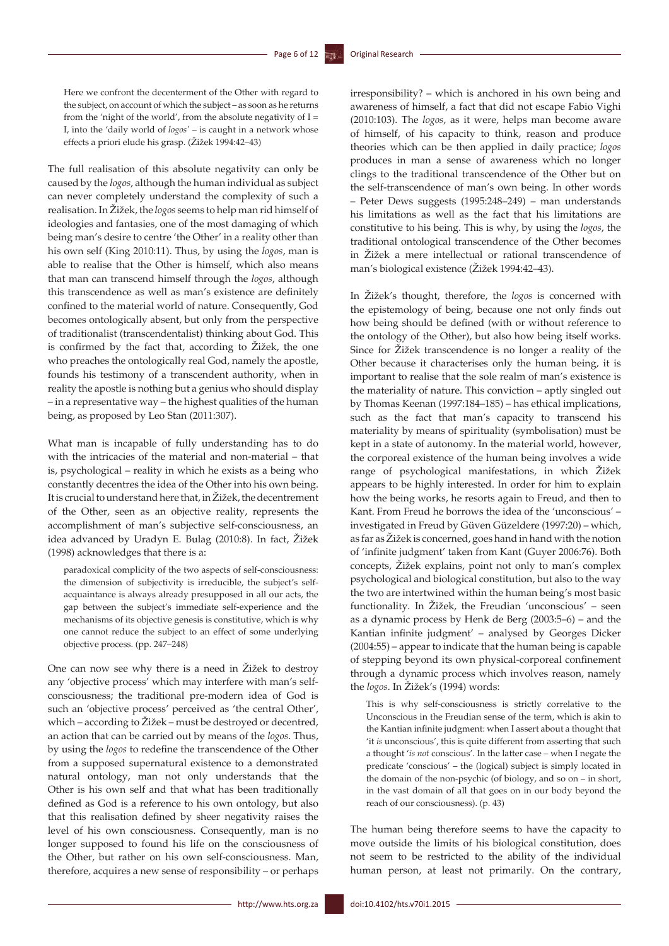Here we confront the decenterment of the Other with regard to the subject, on account of which the subject – as soon as he returns from the 'night of the world', from the absolute negativity of  $I =$ I, into the 'daily world of *logos' –* is caught in a network whose effects a priori elude his grasp. (Žižek 1994:42–43)

The full realisation of this absolute negativity can only be caused by the *logos*, although the human individual as subject can never completely understand the complexity of such a realisation. In Žižek, the *logos* seems to help man rid himself of ideologies and fantasies, one of the most damaging of which being man's desire to centre 'the Other' in a reality other than his own self (King 2010:11). Thus, by using the *logos*, man is able to realise that the Other is himself, which also means that man can transcend himself through the *logos*, although this transcendence as well as man's existence are definitely confined to the material world of nature. Consequently, God becomes ontologically absent, but only from the perspective of traditionalist (transcendentalist) thinking about God. This is confirmed by the fact that, according to Žižek, the one who preaches the ontologically real God, namely the apostle, founds his testimony of a transcendent authority, when in reality the apostle is nothing but a genius who should display – in a representative way – the highest qualities of the human being, as proposed by Leo Stan (2011:307).

What man is incapable of fully understanding has to do with the intricacies of the material and non-material – that is, psychological – reality in which he exists as a being who constantly decentres the idea of the Other into his own being. It is crucial to understand here that, in Žižek, the decentrement of the Other, seen as an objective reality, represents the accomplishment of man's subjective self-consciousness, an idea advanced by Uradyn E. Bulag (2010:8). In fact, Žižek (1998) acknowledges that there is a:

paradoxical complicity of the two aspects of self-consciousness: the dimension of subjectivity is irreducible, the subject's selfacquaintance is always already presupposed in all our acts, the gap between the subject's immediate self-experience and the mechanisms of its objective genesis is constitutive, which is why one cannot reduce the subject to an effect of some underlying objective process. (pp. 247–248)

One can now see why there is a need in Žižek to destroy any 'objective process' which may interfere with man's selfconsciousness; the traditional pre-modern idea of God is such an 'objective process' perceived as 'the central Other', which – according to Žižek – must be destroyed or decentred, an action that can be carried out by means of the *logos*. Thus, by using the *logos* to redefine the transcendence of the Other from a supposed supernatural existence to a demonstrated natural ontology, man not only understands that the Other is his own self and that what has been traditionally defined as God is a reference to his own ontology, but also that this realisation defined by sheer negativity raises the level of his own consciousness. Consequently, man is no longer supposed to found his life on the consciousness of the Other, but rather on his own self-consciousness. Man, therefore, acquires a new sense of responsibility – or perhaps

irresponsibility? – which is anchored in his own being and awareness of himself, a fact that did not escape Fabio Vighi (2010:103). The *logos*, as it were, helps man become aware of himself, of his capacity to think, reason and produce theories which can be then applied in daily practice; *logos* produces in man a sense of awareness which no longer clings to the traditional transcendence of the Other but on the self-transcendence of man's own being. In other words – Peter Dews suggests (1995:248–249) – man understands his limitations as well as the fact that his limitations are constitutive to his being. This is why, by using the *logos*, the traditional ontological transcendence of the Other becomes in Žižek a mere intellectual or rational transcendence of man's biological existence (Žižek 1994:42–43).

In Žižek's thought, therefore, the *logos* is concerned with the epistemology of being, because one not only finds out how being should be defined (with or without reference to the ontology of the Other), but also how being itself works. Since for Žižek transcendence is no longer a reality of the Other because it characterises only the human being, it is important to realise that the sole realm of man's existence is the materiality of nature. This conviction – aptly singled out by Thomas Keenan (1997:184–185) – has ethical implications, such as the fact that man's capacity to transcend his materiality by means of spirituality (symbolisation) must be kept in a state of autonomy. In the material world, however, the corporeal existence of the human being involves a wide range of psychological manifestations, in which Žižek appears to be highly interested. In order for him to explain how the being works, he resorts again to Freud, and then to Kant. From Freud he borrows the idea of the 'unconscious' – investigated in Freud by Güven Güzeldere (1997:20) – which, as far as Žižek is concerned, goes hand in hand with the notion of 'infinite judgment' taken from Kant (Guyer 2006:76). Both concepts, Žižek explains, point not only to man's complex psychological and biological constitution, but also to the way the two are intertwined within the human being's most basic functionality. In Žižek, the Freudian 'unconscious' – seen as a dynamic process by Henk de Berg (2003:5–6) – and the Kantian infinite judgment' – analysed by Georges Dicker (2004:55) – appear to indicate that the human being is capable of stepping beyond its own physical-corporeal confinement through a dynamic process which involves reason, namely the *logos*. In Žižek's (1994) words:

This is why self-consciousness is strictly correlative to the Unconscious in the Freudian sense of the term, which is akin to the Kantian infinite judgment: when I assert about a thought that 'it *is* unconscious', this is quite different from asserting that such a thought '*is not* conscious'. In the latter case – when I negate the predicate 'conscious' – the (logical) subject is simply located in the domain of the non-psychic (of biology, and so on – in short, in the vast domain of all that goes on in our body beyond the reach of our consciousness). (p. 43)

The human being therefore seems to have the capacity to move outside the limits of his biological constitution, does not seem to be restricted to the ability of the individual human person, at least not primarily. On the contrary,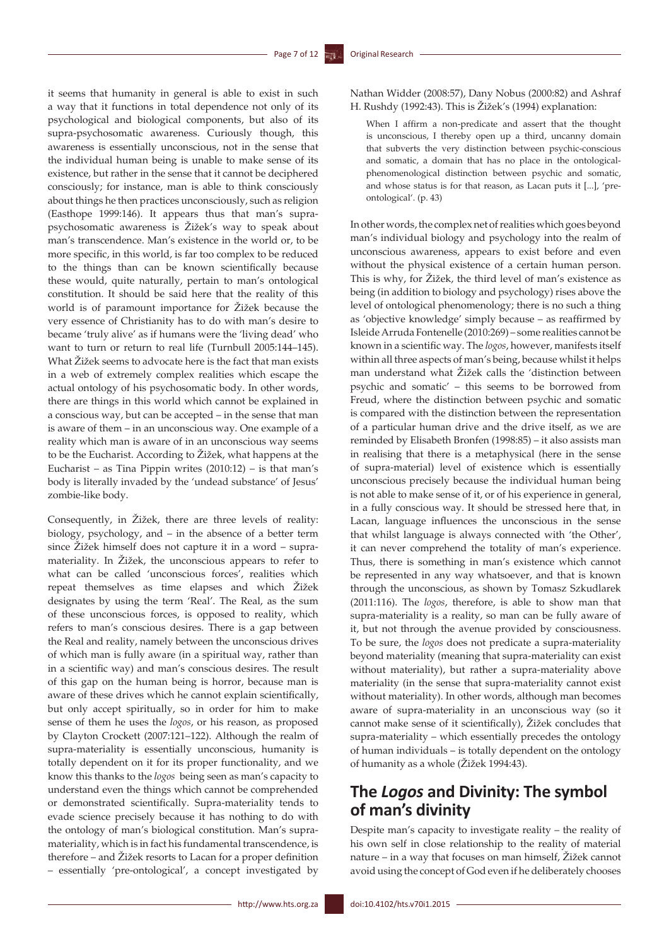it seems that humanity in general is able to exist in such a way that it functions in total dependence not only of its psychological and biological components, but also of its supra-psychosomatic awareness. Curiously though, this awareness is essentially unconscious, not in the sense that the individual human being is unable to make sense of its existence, but rather in the sense that it cannot be deciphered consciously; for instance, man is able to think consciously about things he then practices unconsciously, such as religion (Easthope 1999:146). It appears thus that man's suprapsychosomatic awareness is Žižek's way to speak about man's transcendence. Man's existence in the world or, to be more specific, in this world, is far too complex to be reduced to the things than can be known scientifically because these would, quite naturally, pertain to man's ontological constitution. It should be said here that the reality of this world is of paramount importance for Žižek because the very essence of Christianity has to do with man's desire to became 'truly alive' as if humans were the 'living dead' who want to turn or return to real life (Turnbull 2005:144–145). What Žižek seems to advocate here is the fact that man exists in a web of extremely complex realities which escape the actual ontology of his psychosomatic body. In other words, there are things in this world which cannot be explained in a conscious way, but can be accepted – in the sense that man is aware of them – in an unconscious way. One example of a reality which man is aware of in an unconscious way seems to be the Eucharist. According to Žižek, what happens at the Eucharist – as Tina Pippin writes (2010:12) – is that man's body is literally invaded by the 'undead substance' of Jesus' zombie-like body.

Consequently, in Žižek, there are three levels of reality: biology, psychology, and – in the absence of a better term since Žižek himself does not capture it in a word – supramateriality. In Žižek, the unconscious appears to refer to what can be called 'unconscious forces', realities which repeat themselves as time elapses and which Žižek designates by using the term 'Real'. The Real, as the sum of these unconscious forces, is opposed to reality, which refers to man's conscious desires. There is a gap between the Real and reality, namely between the unconscious drives of which man is fully aware (in a spiritual way, rather than in a scientific way) and man's conscious desires. The result of this gap on the human being is horror, because man is aware of these drives which he cannot explain scientifically, but only accept spiritually, so in order for him to make sense of them he uses the *logos*, or his reason, as proposed by Clayton Crockett (2007:121–122). Although the realm of supra-materiality is essentially unconscious, humanity is totally dependent on it for its proper functionality, and we know this thanks to the *logos* being seen as man's capacity to understand even the things which cannot be comprehended or demonstrated scientifically. Supra-materiality tends to evade science precisely because it has nothing to do with the ontology of man's biological constitution. Man's supramateriality, which is in fact his fundamental transcendence, is therefore – and Žižek resorts to Lacan for a proper definition – essentially 'pre-ontological', a concept investigated by

Nathan Widder (2008:57), Dany Nobus (2000:82) and Ashraf H. Rushdy (1992:43). This is Žižek's (1994) explanation:

When I affirm a non-predicate and assert that the thought is unconscious, I thereby open up a third, uncanny domain that subverts the very distinction between psychic-conscious and somatic, a domain that has no place in the ontologicalphenomenological distinction between psychic and somatic, and whose status is for that reason, as Lacan puts it [...], 'preontological'. (p. 43)

In other words, the complex net of realities which goes beyond man's individual biology and psychology into the realm of unconscious awareness, appears to exist before and even without the physical existence of a certain human person. This is why, for Žižek, the third level of man's existence as being (in addition to biology and psychology) rises above the level of ontological phenomenology; there is no such a thing as 'objective knowledge' simply because – as reaffirmed by Isleide Arruda Fontenelle (2010:269) – some realities cannot be known in a scientific way. The *logos*, however, manifests itself within all three aspects of man's being, because whilst it helps man understand what Žižek calls the 'distinction between psychic and somatic' – this seems to be borrowed from Freud, where the distinction between psychic and somatic is compared with the distinction between the representation of a particular human drive and the drive itself, as we are reminded by Elisabeth Bronfen (1998:85) – it also assists man in realising that there is a metaphysical (here in the sense of supra-material) level of existence which is essentially unconscious precisely because the individual human being is not able to make sense of it, or of his experience in general, in a fully conscious way. It should be stressed here that, in Lacan, language influences the unconscious in the sense that whilst language is always connected with 'the Other', it can never comprehend the totality of man's experience. Thus, there is something in man's existence which cannot be represented in any way whatsoever, and that is known through the unconscious, as shown by Tomasz Szkudlarek (2011:116). The *logos*, therefore, is able to show man that supra-materiality is a reality, so man can be fully aware of it, but not through the avenue provided by consciousness. To be sure, the *logos* does not predicate a supra-materiality beyond materiality (meaning that supra-materiality can exist without materiality), but rather a supra-materiality above materiality (in the sense that supra-materiality cannot exist without materiality). In other words, although man becomes aware of supra-materiality in an unconscious way (so it cannot make sense of it scientifically), Žižek concludes that supra-materiality – which essentially precedes the ontology of human individuals – is totally dependent on the ontology of humanity as a whole (Žižek 1994:43).

# **The** *Logos* **and Divinity: The symbol of man's divinity**

Despite man's capacity to investigate reality – the reality of his own self in close relationship to the reality of material nature – in a way that focuses on man himself, Žižek cannot avoid using the concept of God even if he deliberately chooses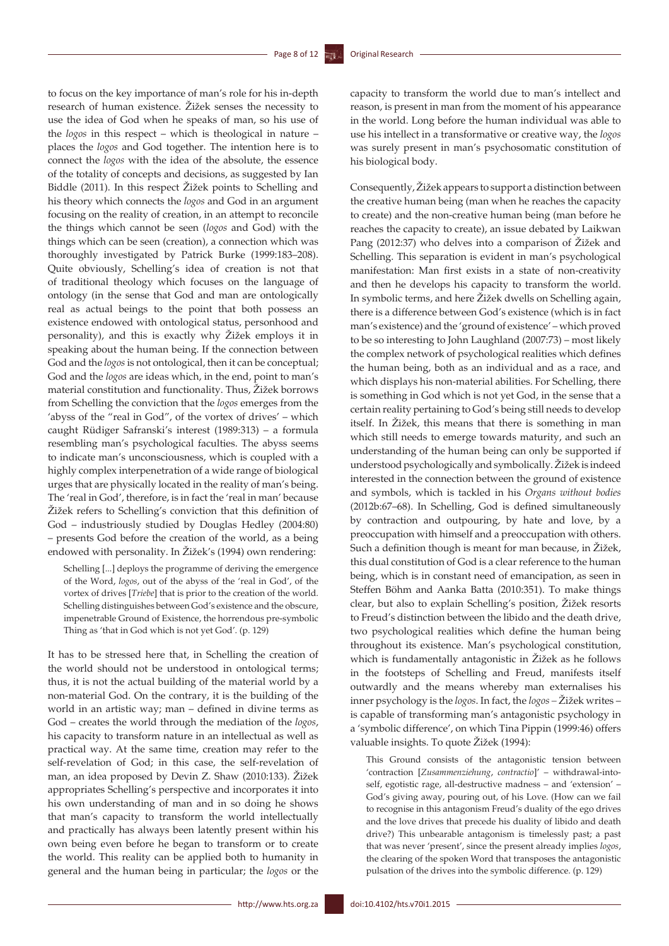to focus on the key importance of man's role for his in-depth research of human existence. Žižek senses the necessity to use the idea of God when he speaks of man, so his use of the *logos* in this respect – which is theological in nature – places the *logos* and God together. The intention here is to connect the *logos* with the idea of the absolute, the essence of the totality of concepts and decisions, as suggested by Ian Biddle (2011). In this respect Žižek points to Schelling and his theory which connects the *logos* and God in an argument focusing on the reality of creation, in an attempt to reconcile the things which cannot be seen (*logos* and God) with the things which can be seen (creation), a connection which was thoroughly investigated by Patrick Burke (1999:183–208). Quite obviously, Schelling's idea of creation is not that of traditional theology which focuses on the language of ontology (in the sense that God and man are ontologically real as actual beings to the point that both possess an existence endowed with ontological status, personhood and personality), and this is exactly why Žižek employs it in speaking about the human being. If the connection between God and the *logos* is not ontological, then it can be conceptual; God and the *logos* are ideas which, in the end, point to man's material constitution and functionality. Thus, Žižek borrows from Schelling the conviction that the *logos* emerges from the 'abyss of the "real in God", of the vortex of drives' – which caught Rüdiger Safranski's interest (1989:313) – a formula resembling man's psychological faculties. The abyss seems to indicate man's unconsciousness, which is coupled with a highly complex interpenetration of a wide range of biological urges that are physically located in the reality of man's being. The 'real in God', therefore, is in fact the 'real in man' because Žižek refers to Schelling's conviction that this definition of God – industriously studied by Douglas Hedley (2004:80) – presents God before the creation of the world, as a being endowed with personality. In Žižek's (1994) own rendering:

Schelling [...] deploys the programme of deriving the emergence of the Word, *logos*, out of the abyss of the 'real in God', of the vortex of drives [*Triebe*] that is prior to the creation of the world. Schelling distinguishes between God's existence and the obscure, impenetrable Ground of Existence, the horrendous pre-symbolic Thing as 'that in God which is not yet God'. (p. 129)

It has to be stressed here that, in Schelling the creation of the world should not be understood in ontological terms; thus, it is not the actual building of the material world by a non-material God. On the contrary, it is the building of the world in an artistic way; man – defined in divine terms as God – creates the world through the mediation of the *logos*, his capacity to transform nature in an intellectual as well as practical way. At the same time, creation may refer to the self-revelation of God; in this case, the self-revelation of man, an idea proposed by Devin Z. Shaw (2010:133). Žižek appropriates Schelling's perspective and incorporates it into his own understanding of man and in so doing he shows that man's capacity to transform the world intellectually and practically has always been latently present within his own being even before he began to transform or to create the world. This reality can be applied both to humanity in general and the human being in particular; the *logos* or the capacity to transform the world due to man's intellect and reason, is present in man from the moment of his appearance in the world. Long before the human individual was able to use his intellect in a transformative or creative way, the *logos* was surely present in man's psychosomatic constitution of his biological body.

Consequently, Žižek appears to support a distinction between the creative human being (man when he reaches the capacity to create) and the non-creative human being (man before he reaches the capacity to create), an issue debated by Laikwan Pang (2012:37) who delves into a comparison of Žižek and Schelling. This separation is evident in man's psychological manifestation: Man first exists in a state of non-creativity and then he develops his capacity to transform the world. In symbolic terms, and here Žižek dwells on Schelling again, there is a difference between God's existence (which is in fact man's existence) and the 'ground of existence' – which proved to be so interesting to John Laughland (2007:73) – most likely the complex network of psychological realities which defines the human being, both as an individual and as a race, and which displays his non-material abilities. For Schelling, there is something in God which is not yet God, in the sense that a certain reality pertaining to God's being still needs to develop itself. In Žižek, this means that there is something in man which still needs to emerge towards maturity, and such an understanding of the human being can only be supported if understood psychologically and symbolically. Žižek is indeed interested in the connection between the ground of existence and symbols, which is tackled in his *Organs without bodies* (2012b:67–68). In Schelling, God is defined simultaneously by contraction and outpouring, by hate and love, by a preoccupation with himself and a preoccupation with others. Such a definition though is meant for man because, in Žižek, this dual constitution of God is a clear reference to the human being, which is in constant need of emancipation, as seen in Steffen Böhm and Aanka Batta (2010:351). To make things clear, but also to explain Schelling's position, Žižek resorts to Freud's distinction between the libido and the death drive, two psychological realities which define the human being throughout its existence. Man's psychological constitution, which is fundamentally antagonistic in Žižek as he follows in the footsteps of Schelling and Freud, manifests itself outwardly and the means whereby man externalises his inner psychology is the *logos*. In fact, the *logos –* Žižek writes – is capable of transforming man's antagonistic psychology in a 'symbolic difference', on which Tina Pippin (1999:46) offers valuable insights. To quote Žižek (1994):

This Ground consists of the antagonistic tension between 'contraction [*Zusammenziehung*, *contractio*]' – withdrawal-intoself, egotistic rage, all-destructive madness – and 'extension' – God's giving away, pouring out, of his Love. (How can we fail to recognise in this antagonism Freud's duality of the ego drives and the love drives that precede his duality of libido and death drive?) This unbearable antagonism is timelessly past; a past that was never 'present', since the present already implies *logos*, the clearing of the spoken Word that transposes the antagonistic pulsation of the drives into the symbolic difference. (p. 129)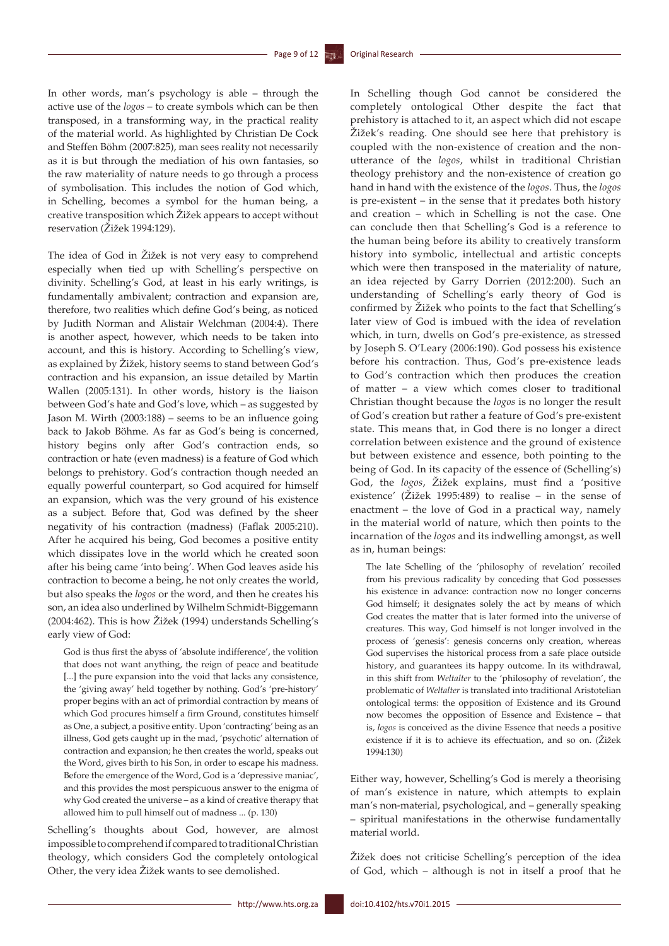In other words, man's psychology is able – through the active use of the *logos –* to create symbols which can be then transposed, in a transforming way, in the practical reality of the material world. As highlighted by Christian De Cock and Steffen Böhm (2007:825), man sees reality not necessarily as it is but through the mediation of his own fantasies, so the raw materiality of nature needs to go through a process of symbolisation. This includes the notion of God which, in Schelling, becomes a symbol for the human being, a creative transposition which Žižek appears to accept without reservation (Žižek 1994:129).

The idea of God in Žižek is not very easy to comprehend especially when tied up with Schelling's perspective on divinity. Schelling's God, at least in his early writings, is fundamentally ambivalent; contraction and expansion are, therefore, two realities which define God's being, as noticed by Judith Norman and Alistair Welchman (2004:4). There is another aspect, however, which needs to be taken into account, and this is history. According to Schelling's view, as explained by Žižek, history seems to stand between God's contraction and his expansion, an issue detailed by Martin Wallen (2005:131). In other words, history is the liaison between God's hate and God's love, which – as suggested by Jason M. Wirth (2003:188) – seems to be an influence going back to Jakob Böhme. As far as God's being is concerned, history begins only after God's contraction ends, so contraction or hate (even madness) is a feature of God which belongs to prehistory. God's contraction though needed an equally powerful counterpart, so God acquired for himself an expansion, which was the very ground of his existence as a subject. Before that, God was defined by the sheer negativity of his contraction (madness) (Faflak 2005:210). After he acquired his being, God becomes a positive entity which dissipates love in the world which he created soon after his being came 'into being'. When God leaves aside his contraction to become a being, he not only creates the world, but also speaks the *logos* or the word, and then he creates his son, an idea also underlined by Wilhelm Schmidt-Biggemann (2004:462). This is how Žižek (1994) understands Schelling's early view of God:

God is thus first the abyss of 'absolute indifference', the volition that does not want anything, the reign of peace and beatitude [...] the pure expansion into the void that lacks any consistence, the 'giving away' held together by nothing. God's 'pre-history' proper begins with an act of primordial contraction by means of which God procures himself a firm Ground, constitutes himself as One, a subject, a positive entity. Upon 'contracting' being as an illness, God gets caught up in the mad, 'psychotic' alternation of contraction and expansion; he then creates the world, speaks out the Word, gives birth to his Son, in order to escape his madness. Before the emergence of the Word, God is a 'depressive maniac', and this provides the most perspicuous answer to the enigma of why God created the universe – as a kind of creative therapy that allowed him to pull himself out of madness ... (p. 130)

Schelling's thoughts about God, however, are almost impossible to comprehend if compared to traditional Christian theology, which considers God the completely ontological Other, the very idea Žižek wants to see demolished.

In Schelling though God cannot be considered the completely ontological Other despite the fact that prehistory is attached to it, an aspect which did not escape Žižek's reading. One should see here that prehistory is coupled with the non-existence of creation and the nonutterance of the *logos*, whilst in traditional Christian theology prehistory and the non-existence of creation go hand in hand with the existence of the *logos*. Thus, the *logos* is pre-existent – in the sense that it predates both history and creation – which in Schelling is not the case. One can conclude then that Schelling's God is a reference to the human being before its ability to creatively transform history into symbolic, intellectual and artistic concepts which were then transposed in the materiality of nature, an idea rejected by Garry Dorrien (2012:200). Such an understanding of Schelling's early theory of God is confirmed by Žižek who points to the fact that Schelling's later view of God is imbued with the idea of revelation which, in turn, dwells on God's pre-existence, as stressed by Joseph S. O'Leary (2006:190). God possess his existence before his contraction. Thus, God's pre-existence leads to God's contraction which then produces the creation of matter – a view which comes closer to traditional Christian thought because the *logos* is no longer the result of God's creation but rather a feature of God's pre-existent state. This means that, in God there is no longer a direct correlation between existence and the ground of existence but between existence and essence, both pointing to the being of God. In its capacity of the essence of (Schelling's) God, the *logos*, Žižek explains, must find a 'positive existence' (Žižek 1995:489) to realise – in the sense of enactment – the love of God in a practical way, namely in the material world of nature, which then points to the incarnation of the *logos* and its indwelling amongst, as well as in, human beings:

The late Schelling of the 'philosophy of revelation' recoiled from his previous radicality by conceding that God possesses his existence in advance: contraction now no longer concerns God himself; it designates solely the act by means of which God creates the matter that is later formed into the universe of creatures. This way, God himself is not longer involved in the process of 'genesis': genesis concerns only creation, whereas God supervises the historical process from a safe place outside history, and guarantees its happy outcome. In its withdrawal, in this shift from *Weltalter* to the 'philosophy of revelation', the problematic of *Weltalter* is translated into traditional Aristotelian ontological terms: the opposition of Existence and its Ground now becomes the opposition of Essence and Existence – that is, *logos* is conceived as the divine Essence that needs a positive existence if it is to achieve its effectuation, and so on. (Žižek 1994:130)

Either way, however, Schelling's God is merely a theorising of man's existence in nature, which attempts to explain man's non-material, psychological, and – generally speaking – spiritual manifestations in the otherwise fundamentally material world.

Žižek does not criticise Schelling's perception of the idea of God, which – although is not in itself a proof that he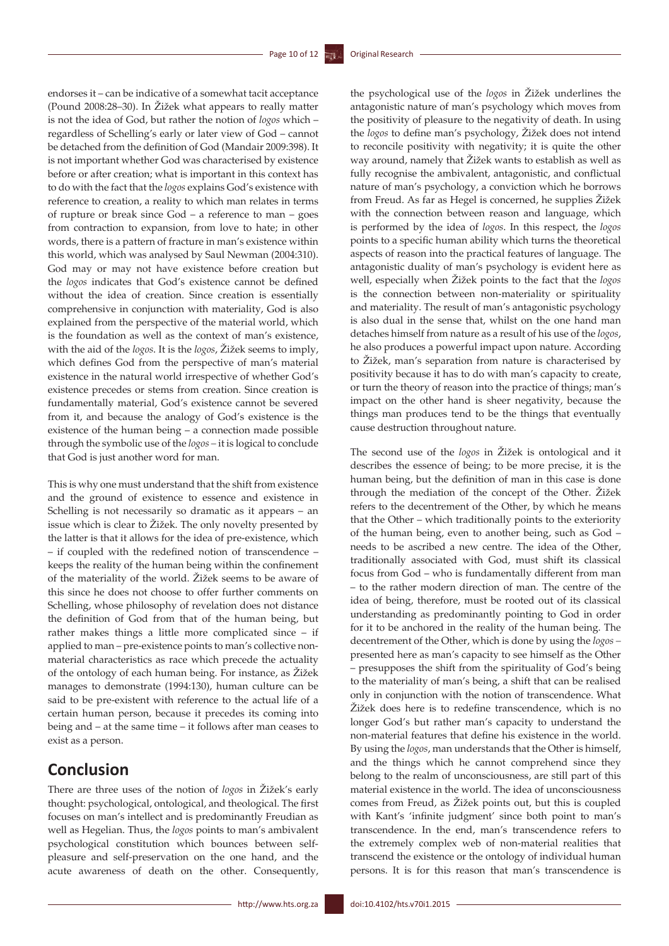endorses it – can be indicative of a somewhat tacit acceptance (Pound 2008:28–30). In Žižek what appears to really matter is not the idea of God, but rather the notion of *logos* which – regardless of Schelling's early or later view of God – cannot be detached from the definition of God (Mandair 2009:398). It is not important whether God was characterised by existence before or after creation; what is important in this context has to do with the fact that the *logos* explains God's existence with reference to creation, a reality to which man relates in terms of rupture or break since God – a reference to man – goes from contraction to expansion, from love to hate; in other words, there is a pattern of fracture in man's existence within this world, which was analysed by Saul Newman (2004:310). God may or may not have existence before creation but the *logos* indicates that God's existence cannot be defined without the idea of creation. Since creation is essentially comprehensive in conjunction with materiality, God is also explained from the perspective of the material world, which is the foundation as well as the context of man's existence, with the aid of the *logos*. It is the *logos*, Žižek seems to imply, which defines God from the perspective of man's material existence in the natural world irrespective of whether God's existence precedes or stems from creation. Since creation is fundamentally material, God's existence cannot be severed from it, and because the analogy of God's existence is the existence of the human being – a connection made possible through the symbolic use of the *logos –* it is logical to conclude that God is just another word for man.

This is why one must understand that the shift from existence and the ground of existence to essence and existence in Schelling is not necessarily so dramatic as it appears – an issue which is clear to Žižek. The only novelty presented by the latter is that it allows for the idea of pre-existence, which – if coupled with the redefined notion of transcendence – keeps the reality of the human being within the confinement of the materiality of the world. Žižek seems to be aware of this since he does not choose to offer further comments on Schelling, whose philosophy of revelation does not distance the definition of God from that of the human being, but rather makes things a little more complicated since – if applied to man – pre-existence points to man's collective nonmaterial characteristics as race which precede the actuality of the ontology of each human being. For instance, as Žižek manages to demonstrate (1994:130), human culture can be said to be pre-existent with reference to the actual life of a certain human person, because it precedes its coming into being and – at the same time – it follows after man ceases to exist as a person.

### **Conclusion**

There are three uses of the notion of *logos* in Žižek's early thought: psychological, ontological, and theological. The first focuses on man's intellect and is predominantly Freudian as well as Hegelian. Thus, the *logos* points to man's ambivalent psychological constitution which bounces between selfpleasure and self-preservation on the one hand, and the acute awareness of death on the other. Consequently, the psychological use of the *logos* in Žižek underlines the antagonistic nature of man's psychology which moves from the positivity of pleasure to the negativity of death. In using the *logos* to define man's psychology, Žižek does not intend to reconcile positivity with negativity; it is quite the other way around, namely that Žižek wants to establish as well as fully recognise the ambivalent, antagonistic, and conflictual nature of man's psychology, a conviction which he borrows from Freud. As far as Hegel is concerned, he supplies Žižek with the connection between reason and language, which is performed by the idea of *logos*. In this respect, the *logos* points to a specific human ability which turns the theoretical aspects of reason into the practical features of language. The antagonistic duality of man's psychology is evident here as well, especially when Žižek points to the fact that the *logos* is the connection between non-materiality or spirituality and materiality. The result of man's antagonistic psychology is also dual in the sense that, whilst on the one hand man detaches himself from nature as a result of his use of the *logos*, he also produces a powerful impact upon nature. According to Žižek, man's separation from nature is characterised by positivity because it has to do with man's capacity to create, or turn the theory of reason into the practice of things; man's impact on the other hand is sheer negativity, because the things man produces tend to be the things that eventually cause destruction throughout nature.

The second use of the *logos* in Žižek is ontological and it describes the essence of being; to be more precise, it is the human being, but the definition of man in this case is done through the mediation of the concept of the Other. Žižek refers to the decentrement of the Other, by which he means that the Other – which traditionally points to the exteriority of the human being, even to another being, such as God – needs to be ascribed a new centre. The idea of the Other, traditionally associated with God, must shift its classical focus from God – who is fundamentally different from man – to the rather modern direction of man. The centre of the idea of being, therefore, must be rooted out of its classical understanding as predominantly pointing to God in order for it to be anchored in the reality of the human being. The decentrement of the Other, which is done by using the *logos –*  presented here as man's capacity to see himself as the Other – presupposes the shift from the spirituality of God's being to the materiality of man's being, a shift that can be realised only in conjunction with the notion of transcendence. What Žižek does here is to redefine transcendence, which is no longer God's but rather man's capacity to understand the non-material features that define his existence in the world. By using the *logos*, man understands that the Other is himself, and the things which he cannot comprehend since they belong to the realm of unconsciousness, are still part of this material existence in the world. The idea of unconsciousness comes from Freud, as Žižek points out, but this is coupled with Kant's 'infinite judgment' since both point to man's transcendence. In the end, man's transcendence refers to the extremely complex web of non-material realities that transcend the existence or the ontology of individual human persons. It is for this reason that man's transcendence is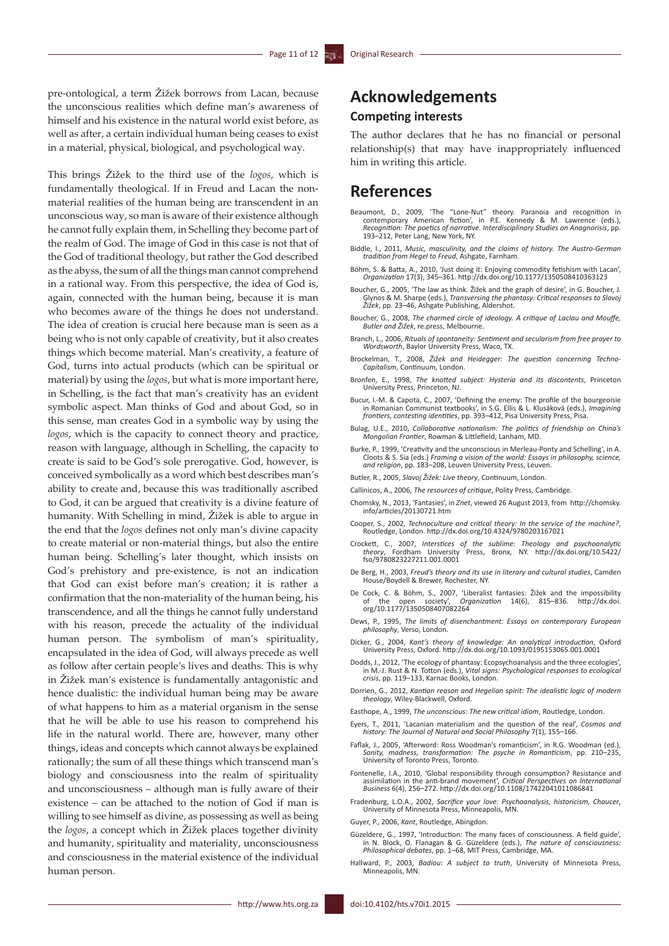pre-ontological, a term Žižek borrows from Lacan, because the unconscious realities which define man's awareness of himself and his existence in the natural world exist before, as well as after, a certain individual human being ceases to exist in a material, physical, biological, and psychological way.

This brings Žižek to the third use of the *logos*, which is fundamentally theological. If in Freud and Lacan the nonmaterial realities of the human being are transcendent in an unconscious way, so man is aware of their existence although he cannot fully explain them, in Schelling they become part of the realm of God. The image of God in this case is not that of the God of traditional theology, but rather the God described as the abyss, the sum of all the things man cannot comprehend in a rational way. From this perspective, the idea of God is, again, connected with the human being, because it is man who becomes aware of the things he does not understand. The idea of creation is crucial here because man is seen as a being who is not only capable of creativity, but it also creates things which become material. Man's creativity, a feature of God, turns into actual products (which can be spiritual or material) by using the *logos*, but what is more important here, in Schelling, is the fact that man's creativity has an evident symbolic aspect. Man thinks of God and about God, so in this sense, man creates God in a symbolic way by using the *logos*, which is the capacity to connect theory and practice, reason with language, although in Schelling, the capacity to create is said to be God's sole prerogative. God, however, is conceived symbolically as a word which best describes man's ability to create and, because this was traditionally ascribed to God, it can be argued that creativity is a divine feature of humanity. With Schelling in mind, Žižek is able to argue in the end that the *logos* defines not only man's divine capacity to create material or non-material things, but also the entire human being. Schelling's later thought, which insists on God's prehistory and pre-existence, is not an indication that God can exist before man's creation; it is rather a confirmation that the non-materiality of the human being, his transcendence, and all the things he cannot fully understand with his reason, precede the actuality of the individual human person. The symbolism of man's spirituality, encapsulated in the idea of God, will always precede as well as follow after certain people's lives and deaths. This is why in Žižek man's existence is fundamentally antagonistic and hence dualistic: the individual human being may be aware of what happens to him as a material organism in the sense that he will be able to use his reason to comprehend his life in the natural world. There are, however, many other things, ideas and concepts which cannot always be explained rationally; the sum of all these things which transcend man's biology and consciousness into the realm of spirituality and unconsciousness – although man is fully aware of their existence – can be attached to the notion of God if man is willing to see himself as divine, as possessing as well as being the *logos*, a concept which in Žižek places together divinity and humanity, spirituality and materiality, unconsciousness and consciousness in the material existence of the individual human person.

### **Acknowledgements Competing interests**

The author declares that he has no financial or personal relationship(s) that may have inappropriately influenced him in writing this article.

### **References**

- Beaumont, D., 2009, 'The "Lone-Nut" theory. Paranoia and recognition in contemporary American fiction', in P.E. Kennedy & M. Lawrence (eds.),<br>*Recognition: The poetics of narrative. Interdisciplinary Studies on Anagnorisis*, pp.<br>193–212, Peter Lang, New York, NY.
- Biddle, I., 2011, *Music, masculinity, and the claims of history. The Austro-German tradition from Hegel to Freud*, Ashgate, Farnham.
- Böhm, S. & Batta, A., 2010, 'Just doing it: Enjoying commodity fetishism with Lacan', *Organization* 17(3), 345–361. <http://dx.doi.org/10.1177/1350508410363123>
- Boucher, G., 2005, 'The law as think. Žižek and the graph of desire', in G. Boucher, J. Glynos & M. Sharpe (eds.), *Transversing the phantasy: Critical responses to Slavoj Žižek*, pp. 23–46, Ashgate Publishing, Aldershot.
- Boucher, G., 2008, *The charmed circle of ideology. A critique of Laclau and Mouffe, Butler and Žižek*, re.press, Melbourne.
- Branch, L., 2006, *Rituals of spontaneity: Sentiment and secularism from free prayer to Wordsworth*, Baylor University Press, Waco, TX.
- Brockelman, T., 2008, *Žižek and Heidegger: The question concerning Techno-Capitalism*, Continuum, London.
- Bronfen, E., 1998, *The knotted subject: Hysteria and its discontents*, Princeton University Press, Princeton, NJ.
- Bucur, I.-M. & Capota, C., 2007, 'Defining the enemy: The profile of the bourgeoisie in Romanian Communist textbooks', in S.G. Ellis & L. Klusáková (eds.), *Imagining frontiers, contesting identities*, pp. 393–412, Pisa University Press, Pisa.
- Bulag, U.E., 2010, *Collaborative nationalism: The politics of friendship on China's Mongolian Frontier*, Rowman & Littlefield, Lanham, MD.
- Burke, P., 1999, 'Creativity and the unconscious in Merleau-Ponty and Schelling', in A. Cloots & S. Sia (eds.) *Framing a vision of the world: Essays in philosophy, science, and religion*, pp. 183–208, Leuven University Press, Leuven.
- Butler, R., 2005, *Slavoj Žižek: Live theory*, Continuum, London.
- Callinicos, A., 2006, *The resources of critique*, Polity Press, Cambridge.
- Chomsky, N., 2013, 'Fantasies', in *Znet*, viewed 26 August 2013, from http://chomsky. info/articles/20130721.htm
- Cooper, S., 2002, *Technoculture and critical theory: In the service of the machine?*, Routledge, London.<http://dx.doi.org/10.4324/9780203167021>
- Crockett, C., 2007, *Interstices of the sublime: Theology and psychoanalytic theory*, Fordham University Press, Bronx, NY. [http://dx.doi.org/10.5422/](http://dx.doi.org/10.5422/fso/9780823227211.001.0001) [fso/9780823227211.001.0001](http://dx.doi.org/10.5422/fso/9780823227211.001.0001)
- De Berg, H., 2003, *Freud's theory and its use in literary and cultural studies*, Camden House/Boydell & Brewer, Rochester, NY.
- De Cock, C. & Böhm, S., 2007, 'Liberalist fantasies: Žižek and the impossibility of the open society', *Organization* 14(6), 815–836. [http://dx.doi.](http://dx.doi.org/10.1177/1350508407082264) [org/10.1177/1350508407082264](http://dx.doi.org/10.1177/1350508407082264)
- Dews, P., 1995, *The limits of disenchantment: Essays on contemporary European philosophy*, Verso, London.
- Dicker, G., 2004, *Kant's theory of knowledge: An analytical introduction*, Oxford University Press, Oxford.<http://dx.doi.org/10.1093/0195153065.001.0001>
- Dodds, J., 2012, 'The ecology of phantasy: Ecopsychoanalysis and the three ecologies', in M.-J. Rust & N. Totton (eds.), *Vital signs: Psychological responses to ecological crisis*, pp. 119–133, Karnac Books, London.
- Dorrien, G., 2012, *Kantian reason and Hegelian spirit: The idealistic logic of modern theology*, Wiley-Blackwell, Oxford.
- Easthope, A., 1999, *The unconscious: The new critical idiom*, Routledge, London.
- Eyers, T., 2011, 'Lacanian materialism and the question of the real', *Cosmos and history: The Journal of Natural and Social Philosophy* 7(1), 155–166.
- Faflak, J., 2005, 'Afterword: Ross Woodman's romanticism', in R.G. Woodman (ed.), *Sanity, madness, transformation: The psyche in Romanticism*, pp. 210–235, University of Toronto Press, Toronto.
- Fontenelle, I.A., 2010, 'Global responsibility through consumption? Resistance and assimilation in the anti-brand movement', *Critical Perspectives on International Business* 6(4), 256–272. <http://dx.doi.org/10.1108/17422041011086841>
- Fradenburg, L.O.A., 2002, *Sacrifice your love: Psychoanalysis, historicism, Chaucer*, University of Minnesota Press, Minneapolis, MN.

Guyer, P., 2006, *Kant*, Routledge, Abingdon.

- Güzeldere, G., 1997, 'Introduction: The many faces of consciousness. A field guide', in N. Block, O. Flanagan & G. Güzeldere (eds.), *The nature of consciousness: Philosophical debates*, pp. 1–68, MIT Press, Cambridge, MA.
- Hallward, P., 2003, *Badiou: A subject to truth*, University of Minnesota Press, Minneapolis, MN.